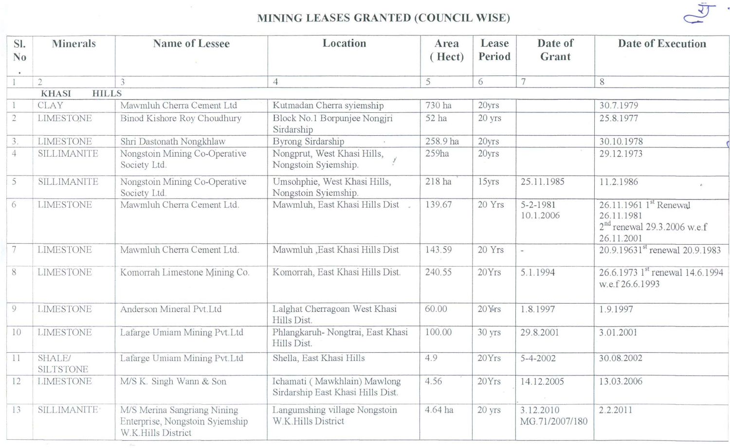

## MINING LEASES GRANTED (COUNCIL WISE)

| SI.<br>N <sub>0</sub>        | <b>Minerals</b>            | <b>Name of Lessee</b>                                                                | Location                                                          | Area<br>(Hect) | Lease<br>Period | Date of<br>Grant            | <b>Date of Execution</b>                                                            |
|------------------------------|----------------------------|--------------------------------------------------------------------------------------|-------------------------------------------------------------------|----------------|-----------------|-----------------------------|-------------------------------------------------------------------------------------|
|                              |                            |                                                                                      |                                                                   |                |                 |                             |                                                                                     |
|                              | $\overline{2}$             |                                                                                      | 4                                                                 | 5              | 6               | $7\phantom{.0}$             | 8                                                                                   |
| <b>HILLS</b><br><b>KHASI</b> |                            |                                                                                      |                                                                   |                |                 |                             |                                                                                     |
|                              | <b>CLAY</b>                | Mawmluh Cherra Cement Ltd                                                            | Kutmadan Cherra syiemship                                         | 730 ha         | 20yrs           |                             | 30.7.1979                                                                           |
| $\sqrt{2}$                   | <b>LIMESTONE</b>           | Binod Kishore Roy Choudhury                                                          | Block No.1 Borpunjee Nongjri<br>Sirdarship                        | 52 ha          | 20 yrs          |                             | 25.8.1977                                                                           |
| 3.                           | <b>LIMESTONE</b>           | Shri Dastonath Nongkhlaw                                                             | Byrong Sirdarship                                                 | 258.9 ha       | 20yrs           |                             | 30.10.1978                                                                          |
| $\overline{4}$               | SILLIMANITE                | Nongstoin Mining Co-Operative<br>Society Ltd.                                        | Nongprut, West Khasi Hills,<br>Nongstoin Syiemship.               | 259ha          | 20yrs           |                             | 29.12.1973                                                                          |
| 5                            | <b>SILLIMANITE</b>         | Nongstoin Mining Co-Operative<br>Society Ltd.                                        | Umsohphie, West Khasi Hills,<br>Nongstoin Syiemship.              | 218 ha         | 15yrs           | 25.11.1985                  | 11.2.1986                                                                           |
| 6                            | LIMESTONE                  | Mawmluh Cherra Cement Ltd.                                                           | Mawmluh, East Khasi Hills Dist                                    | 139.67         | 20 Yrs          | $5 - 2 - 1981$<br>10.1.2006 | 26.11.1961 1st Renewal<br>26.11.1981<br>$2nd$ renewal 29.3.2006 w.e.f<br>26.11.2001 |
| $\overline{7}$               | <b>LIMESTONE</b>           | Mawmluh Cherra Cement Ltd.                                                           | Mawmluh , East Khasi Hills Dist                                   | 143.59         | 20 Yrs          |                             | 20.9.19631 <sup>st</sup> renewal 20.9.1983                                          |
| $8\,$                        | <b>LIMESTONE</b>           | Komorrah Limestone Mining Co.                                                        | Komorrah, East Khasi Hills Dist.                                  | 240.55         | 20Yrs           | 5.1.1994                    | 26.6.1973 1 <sup>st</sup> renewal 14.6.1994<br>w.e.f 26.6.1993                      |
| 9                            | <b>LIMESTONE</b>           | Anderson Mineral Pvt.Ltd                                                             | Lalghat Cherragoan West Khasi<br>Hills Dist.                      | 60.00          | 20Yrs           | 1.8.1997                    | 1.9.1997                                                                            |
| 10                           | <b>LIMESTONE</b>           | Lafarge Umiam Mining Pvt.Ltd                                                         | Phlangkaruh- Nongtrai, East Khasi<br>Hills Dist.                  | 100.00         | 30 yrs          | 29.8.2001                   | 3.01.2001                                                                           |
| 11                           | SHALE/<br><b>SILTSTONE</b> | Lafarge Umiam Mining Pvt.Ltd                                                         | Shella, East Khasi Hills                                          | 4.9            | 20Yrs           | $5 - 4 - 2002$              | 30.08.2002                                                                          |
| 12                           | <b>LIMESTONE</b>           | M/S K. Singh Wann & Son                                                              | Ichamati (Mawkhlain) Mawlong<br>Sirdarship East Khasi Hills Dist. | 4.56           | 20Yrs           | 14.12.2005                  | 13.03.2006                                                                          |
| 13                           | SILLIMANITE <sup>®</sup>   | M/S Merina Sangriang Nining<br>Enterprise, Nongstoin Syiemship<br>W.K.Hills District | Langumshing village Nongstoin<br>W.K.Hills District               | 4.64 ha        | 20 yrs          | 3.12.2010<br>MG.71/2007/180 | 2.2.2011                                                                            |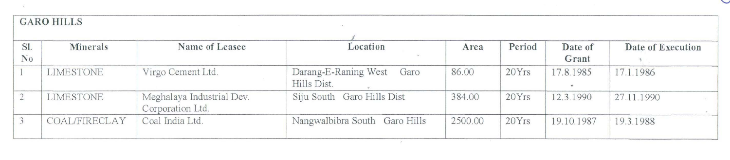**GAROHILLS** 

| SI.<br>N <sub>0</sub> | Minerals      | Name of Leasee                                | Location                                    | Area    | Period | Date of<br>Grant | Date of Execution |
|-----------------------|---------------|-----------------------------------------------|---------------------------------------------|---------|--------|------------------|-------------------|
|                       | LIMESTONE     | Virgo Cement Ltd.                             | Darang-E-Raning West<br>Garo<br>Hills Dist. | 86.00   | 20Yrs  | 17.8.1985        | 17.1.1986         |
|                       | LIMESTONE     | Meghalaya Industrial Dev.<br>Corporation Ltd. | Siju South Garo Hills Dist                  | 384.00  | 20Yrs  | 12.3.1990        | 27.11.1990        |
|                       | COAL/FIRECLAY | Coal India Ltd.                               | Nangwalbibra South Garo Hills               | 2500.00 | 20Yrs  | 19.10.1987       | 19.3.1988         |

 $\langle \phi \rangle$